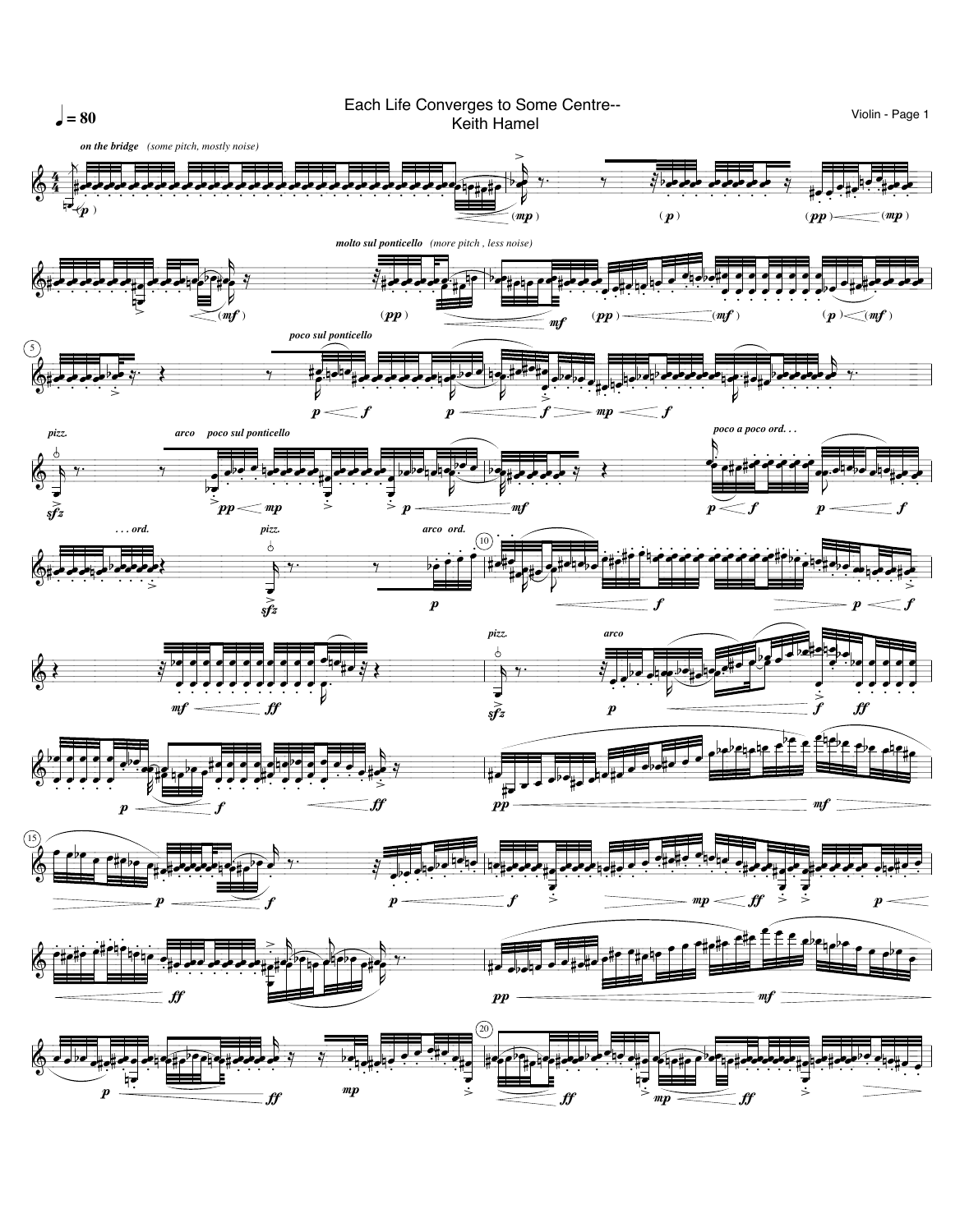$=80$ 

## Each Life Converges to Some Centre--<br>Keith Hamel

Violin - Page 1

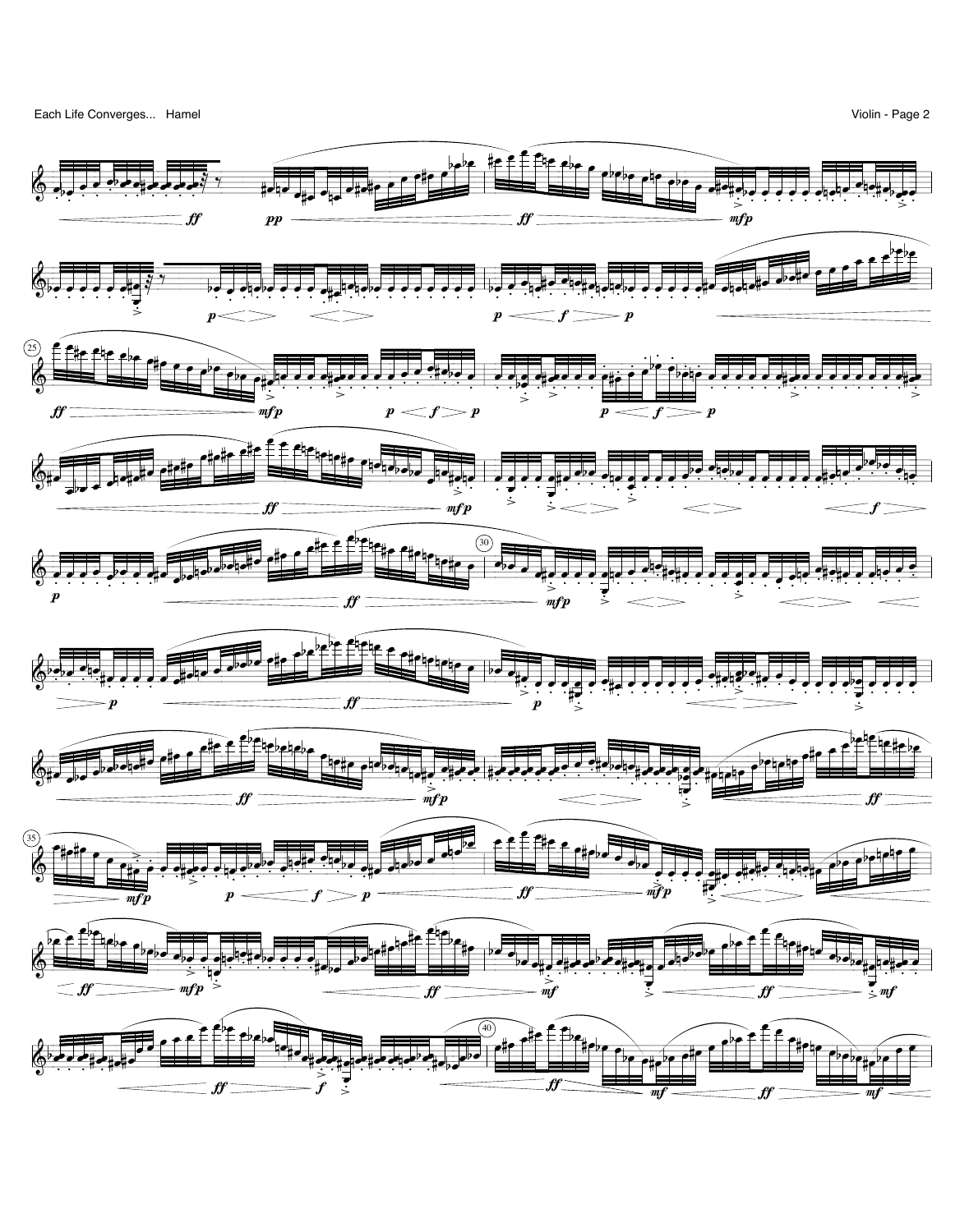Each Life Converges... Hamel

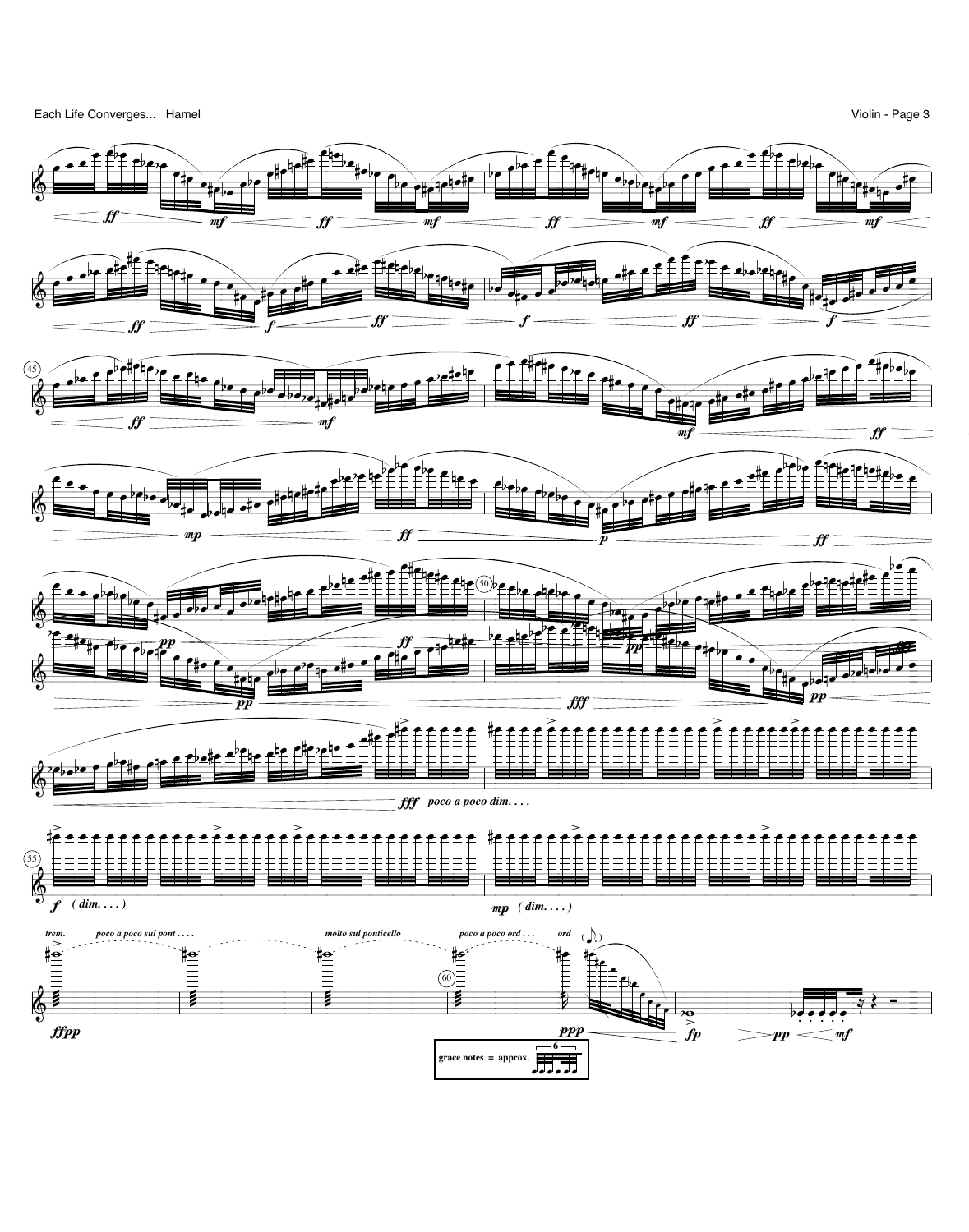Each Life Converges... Hamel

Violin - Page 3

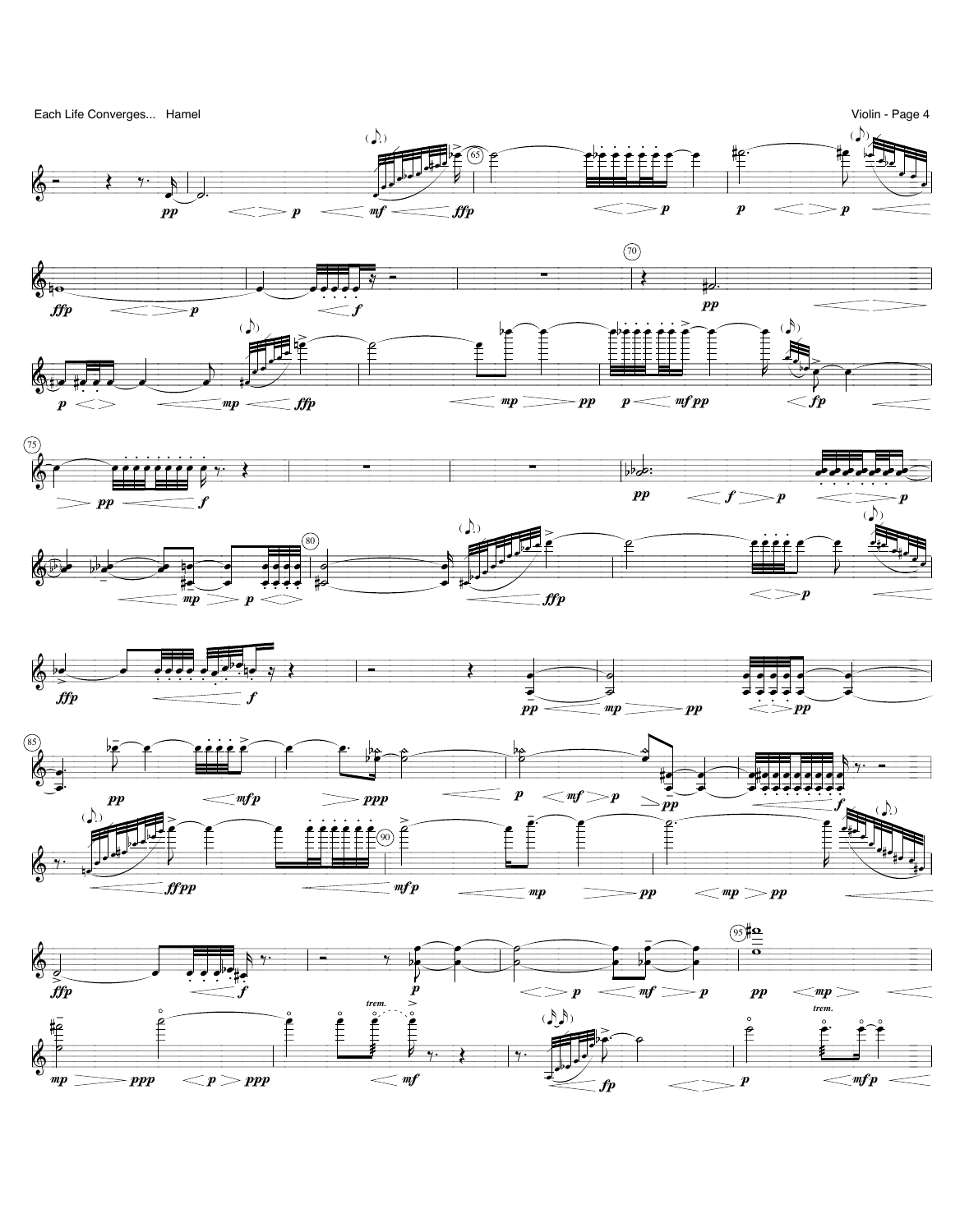









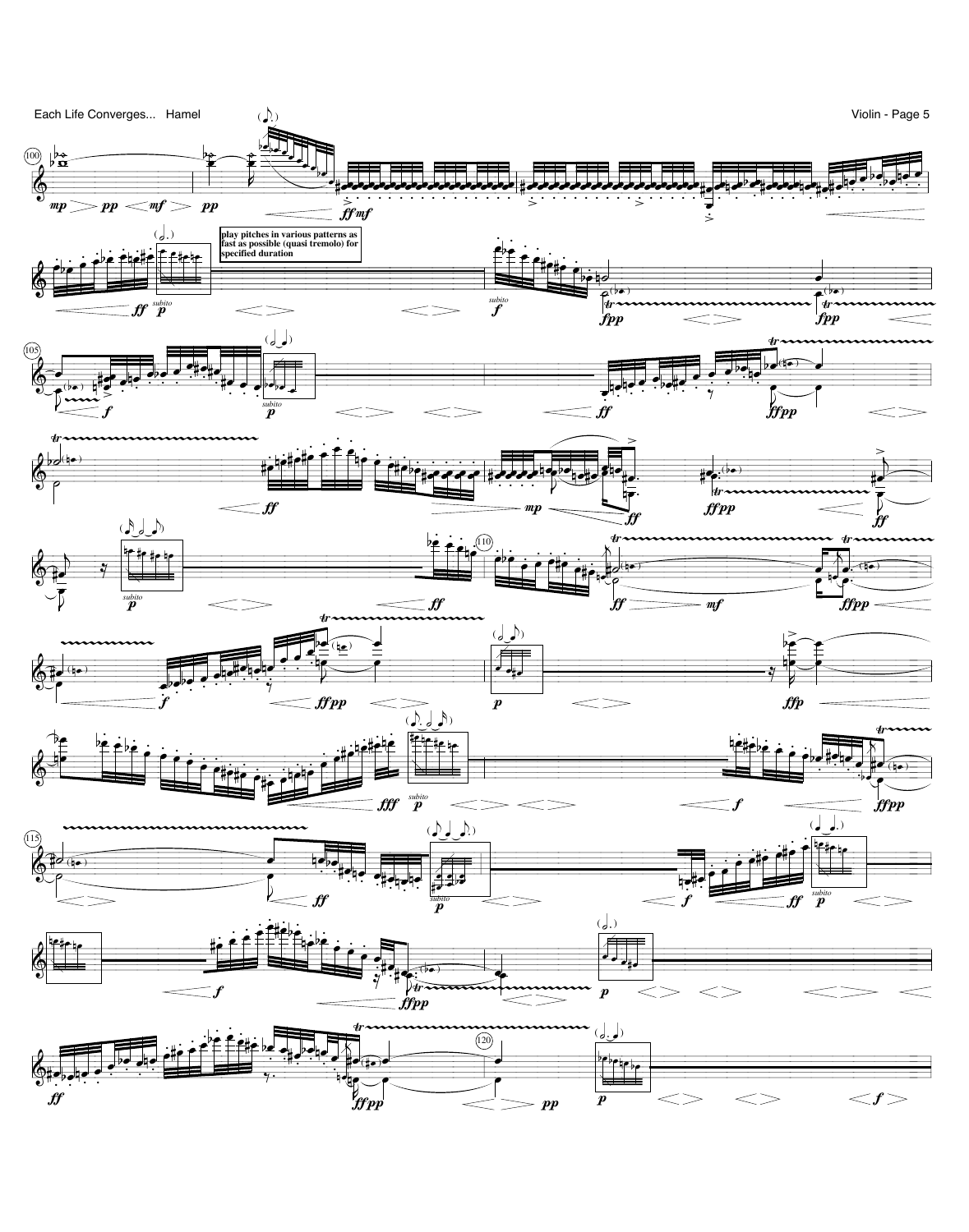